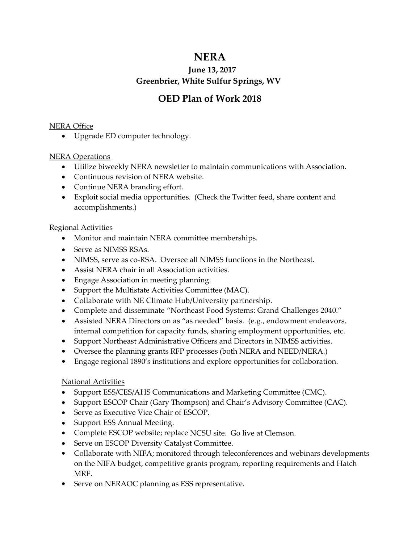# **NERA**

### **June 13, 2017 Greenbrier, White Sulfur Springs, WV**

## **OED Plan of Work 2018**

#### NERA Office

• Upgrade ED computer technology.

#### NERA Operations

- Utilize biweekly NERA newsletter to maintain communications with Association.
- Continuous revision of NERA website.
- Continue NERA branding effort.
- Exploit social media opportunities. (Check the Twitter feed, share content and accomplishments.)

#### Regional Activities

- Monitor and maintain NERA committee memberships.
- Serve as NIMSS RSAs.
- NIMSS, serve as co-RSA. Oversee all NIMSS functions in the Northeast.
- Assist NERA chair in all Association activities.
- Engage Association in meeting planning.
- Support the Multistate Activities Committee (MAC).
- Collaborate with NE Climate Hub/University partnership.
- Complete and disseminate "Northeast Food Systems: Grand Challenges 2040."
- Assisted NERA Directors on as "as needed" basis. (e.g., endowment endeavors, internal competition for capacity funds, sharing employment opportunities, etc.
- Support Northeast Administrative Officers and Directors in NIMSS activities.
- Oversee the planning grants RFP processes (both NERA and NEED/NERA.)
- Engage regional 1890's institutions and explore opportunities for collaboration.

#### National Activities

- Support ESS/CES/AHS Communications and Marketing Committee (CMC).
- Support ESCOP Chair (Gary Thompson) and Chair's Advisory Committee (CAC).
- Serve as Executive Vice Chair of ESCOP.
- Support ESS Annual Meeting.
- Complete ESCOP website; replace NCSU site. Go live at Clemson.
- Serve on ESCOP Diversity Catalyst Committee.
- Collaborate with NIFA; monitored through teleconferences and webinars developments on the NIFA budget, competitive grants program, reporting requirements and Hatch MRF.
- Serve on NERAOC planning as ESS representative.